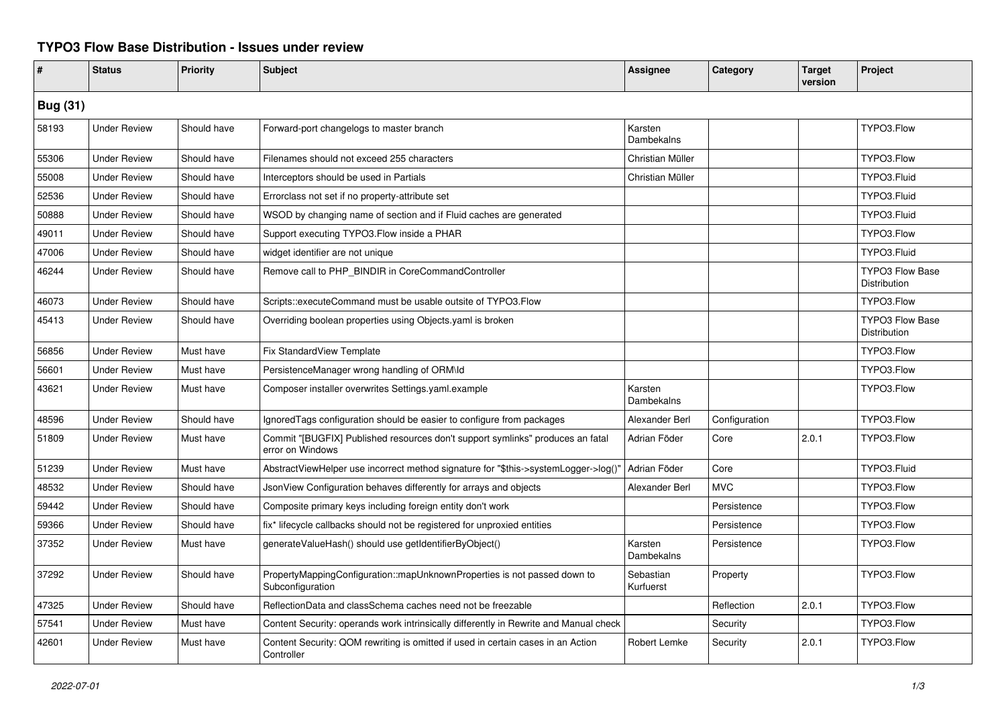## **TYPO3 Flow Base Distribution - Issues under review**

| #               | <b>Status</b>       | <b>Priority</b> | <b>Subject</b>                                                                                     | Assignee               | Category      | <b>Target</b><br>version | Project                                |  |
|-----------------|---------------------|-----------------|----------------------------------------------------------------------------------------------------|------------------------|---------------|--------------------------|----------------------------------------|--|
| <b>Bug (31)</b> |                     |                 |                                                                                                    |                        |               |                          |                                        |  |
| 58193           | <b>Under Review</b> | Should have     | Forward-port changelogs to master branch                                                           | Karsten<br>Dambekalns  |               |                          | TYPO3.Flow                             |  |
| 55306           | <b>Under Review</b> | Should have     | Filenames should not exceed 255 characters                                                         | Christian Müller       |               |                          | TYPO3.Flow                             |  |
| 55008           | <b>Under Review</b> | Should have     | Interceptors should be used in Partials                                                            | Christian Müller       |               |                          | TYPO3.Fluid                            |  |
| 52536           | <b>Under Review</b> | Should have     | Errorclass not set if no property-attribute set                                                    |                        |               |                          | TYPO3.Fluid                            |  |
| 50888           | <b>Under Review</b> | Should have     | WSOD by changing name of section and if Fluid caches are generated                                 |                        |               |                          | TYPO3.Fluid                            |  |
| 49011           | <b>Under Review</b> | Should have     | Support executing TYPO3.Flow inside a PHAR                                                         |                        |               |                          | TYPO3.Flow                             |  |
| 47006           | <b>Under Review</b> | Should have     | widget identifier are not unique                                                                   |                        |               |                          | TYPO3.Fluid                            |  |
| 46244           | <b>Under Review</b> | Should have     | Remove call to PHP_BINDIR in CoreCommandController                                                 |                        |               |                          | <b>TYPO3 Flow Base</b><br>Distribution |  |
| 46073           | <b>Under Review</b> | Should have     | Scripts::executeCommand must be usable outsite of TYPO3.Flow                                       |                        |               |                          | TYPO3.Flow                             |  |
| 45413           | <b>Under Review</b> | Should have     | Overriding boolean properties using Objects.yaml is broken                                         |                        |               |                          | <b>TYPO3 Flow Base</b><br>Distribution |  |
| 56856           | <b>Under Review</b> | Must have       | Fix StandardView Template                                                                          |                        |               |                          | TYPO3.Flow                             |  |
| 56601           | <b>Under Review</b> | Must have       | PersistenceManager wrong handling of ORM\ld                                                        |                        |               |                          | TYPO3.Flow                             |  |
| 43621           | <b>Under Review</b> | Must have       | Composer installer overwrites Settings.yaml.example                                                | Karsten<br>Dambekalns  |               |                          | TYPO3.Flow                             |  |
| 48596           | <b>Under Review</b> | Should have     | IgnoredTags configuration should be easier to configure from packages                              | Alexander Berl         | Configuration |                          | TYPO3.Flow                             |  |
| 51809           | <b>Under Review</b> | Must have       | Commit "[BUGFIX] Published resources don't support symlinks" produces an fatal<br>error on Windows | Adrian Föder           | Core          | 2.0.1                    | TYPO3.Flow                             |  |
| 51239           | <b>Under Review</b> | Must have       | AbstractViewHelper use incorrect method signature for "\$this->systemLogger->log()"                | Adrian Föder           | Core          |                          | TYPO3.Fluid                            |  |
| 48532           | <b>Under Review</b> | Should have     | JsonView Configuration behaves differently for arrays and objects                                  | Alexander Berl         | <b>MVC</b>    |                          | TYPO3.Flow                             |  |
| 59442           | <b>Under Review</b> | Should have     | Composite primary keys including foreign entity don't work                                         |                        | Persistence   |                          | TYPO3.Flow                             |  |
| 59366           | <b>Under Review</b> | Should have     | fix* lifecycle callbacks should not be registered for unproxied entities                           |                        | Persistence   |                          | TYPO3.Flow                             |  |
| 37352           | <b>Under Review</b> | Must have       | generateValueHash() should use getIdentifierByObject()                                             | Karsten<br>Dambekalns  | Persistence   |                          | TYPO3.Flow                             |  |
| 37292           | <b>Under Review</b> | Should have     | PropertyMappingConfiguration::mapUnknownProperties is not passed down to<br>Subconfiguration       | Sebastian<br>Kurfuerst | Property      |                          | TYPO3.Flow                             |  |
| 47325           | <b>Under Review</b> | Should have     | ReflectionData and classSchema caches need not be freezable                                        |                        | Reflection    | 2.0.1                    | TYPO3.Flow                             |  |
| 57541           | <b>Under Review</b> | Must have       | Content Security: operands work intrinsically differently in Rewrite and Manual check              |                        | Security      |                          | TYPO3.Flow                             |  |
| 42601           | <b>Under Review</b> | Must have       | Content Security: QOM rewriting is omitted if used in certain cases in an Action<br>Controller     | Robert Lemke           | Security      | 2.0.1                    | TYPO3.Flow                             |  |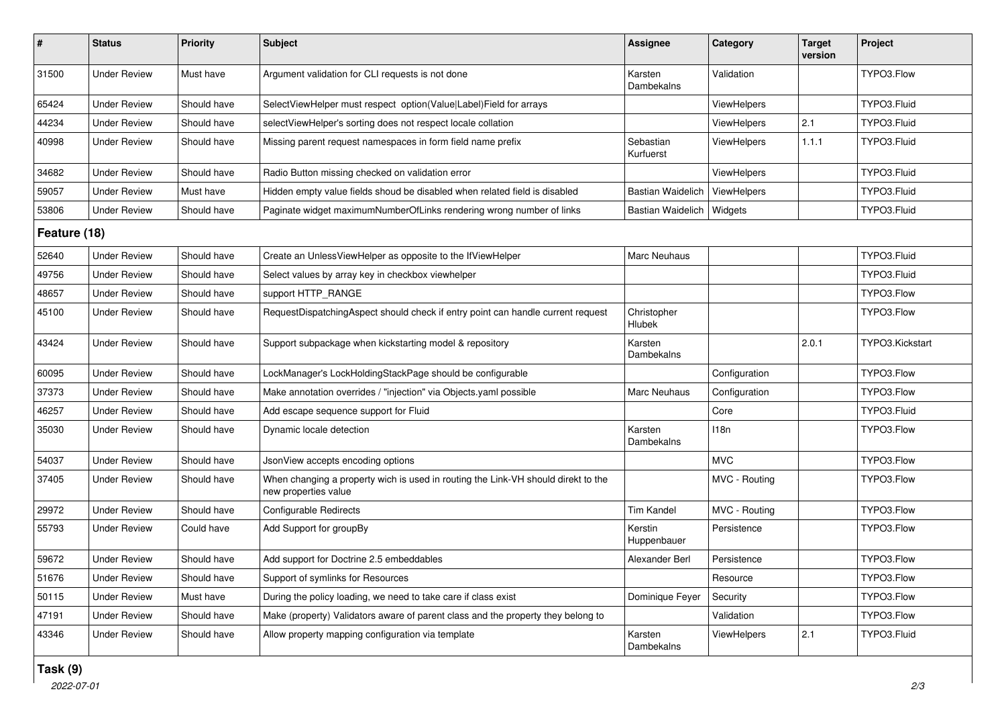| $\#$         | <b>Status</b>       | <b>Priority</b> | <b>Subject</b>                                                                                            | <b>Assignee</b>             | Category           | <b>Target</b><br>version | Project         |  |
|--------------|---------------------|-----------------|-----------------------------------------------------------------------------------------------------------|-----------------------------|--------------------|--------------------------|-----------------|--|
| 31500        | <b>Under Review</b> | Must have       | Argument validation for CLI requests is not done                                                          | Karsten<br>Dambekalns       | Validation         |                          | TYPO3.Flow      |  |
| 65424        | <b>Under Review</b> | Should have     | SelectViewHelper must respect option(Value Label)Field for arrays                                         |                             | <b>ViewHelpers</b> |                          | TYPO3.Fluid     |  |
| 44234        | <b>Under Review</b> | Should have     | selectViewHelper's sorting does not respect locale collation                                              |                             | ViewHelpers        | 2.1                      | TYPO3.Fluid     |  |
| 40998        | <b>Under Review</b> | Should have     | Missing parent request namespaces in form field name prefix                                               | Sebastian<br>Kurfuerst      | <b>ViewHelpers</b> | 1.1.1                    | TYPO3.Fluid     |  |
| 34682        | <b>Under Review</b> | Should have     | Radio Button missing checked on validation error                                                          |                             | <b>ViewHelpers</b> |                          | TYPO3.Fluid     |  |
| 59057        | <b>Under Review</b> | Must have       | Hidden empty value fields shoud be disabled when related field is disabled                                | Bastian Waidelich           | ViewHelpers        |                          | TYPO3.Fluid     |  |
| 53806        | <b>Under Review</b> | Should have     | Paginate widget maximumNumberOfLinks rendering wrong number of links                                      | Bastian Waidelich   Widgets |                    |                          | TYPO3.Fluid     |  |
| Feature (18) |                     |                 |                                                                                                           |                             |                    |                          |                 |  |
| 52640        | <b>Under Review</b> | Should have     | Create an UnlessViewHelper as opposite to the IfViewHelper                                                | Marc Neuhaus                |                    |                          | TYPO3.Fluid     |  |
| 49756        | <b>Under Review</b> | Should have     | Select values by array key in checkbox viewhelper                                                         |                             |                    |                          | TYPO3.Fluid     |  |
| 48657        | <b>Under Review</b> | Should have     | support HTTP RANGE                                                                                        |                             |                    |                          | TYPO3.Flow      |  |
| 45100        | <b>Under Review</b> | Should have     | RequestDispatchingAspect should check if entry point can handle current request                           | Christopher<br>Hlubek       |                    |                          | TYPO3.Flow      |  |
| 43424        | <b>Under Review</b> | Should have     | Support subpackage when kickstarting model & repository                                                   | Karsten<br>Dambekalns       |                    | 2.0.1                    | TYPO3.Kickstart |  |
| 60095        | <b>Under Review</b> | Should have     | LockManager's LockHoldingStackPage should be configurable                                                 |                             | Configuration      |                          | TYPO3.Flow      |  |
| 37373        | <b>Under Review</b> | Should have     | Make annotation overrides / "injection" via Objects yaml possible                                         | Marc Neuhaus                | Configuration      |                          | TYPO3.Flow      |  |
| 46257        | <b>Under Review</b> | Should have     | Add escape sequence support for Fluid                                                                     |                             | Core               |                          | TYPO3.Fluid     |  |
| 35030        | <b>Under Review</b> | Should have     | Dynamic locale detection                                                                                  | Karsten<br>Dambekalns       | 118n               |                          | TYPO3.Flow      |  |
| 54037        | <b>Under Review</b> | Should have     | JsonView accepts encoding options                                                                         |                             | <b>MVC</b>         |                          | TYPO3.Flow      |  |
| 37405        | <b>Under Review</b> | Should have     | When changing a property wich is used in routing the Link-VH should direkt to the<br>new properties value |                             | MVC - Routing      |                          | TYPO3.Flow      |  |
| 29972        | <b>Under Review</b> | Should have     | Configurable Redirects                                                                                    | <b>Tim Kandel</b>           | MVC - Routing      |                          | TYPO3.Flow      |  |
| 55793        | <b>Under Review</b> | Could have      | Add Support for groupBy                                                                                   | Kerstin<br>Huppenbauer      | Persistence        |                          | TYPO3.Flow      |  |
| 59672        | <b>Under Review</b> | Should have     | Add support for Doctrine 2.5 embeddables                                                                  | Alexander Berl              | Persistence        |                          | TYPO3.Flow      |  |
| 51676        | <b>Under Review</b> | Should have     | Support of symlinks for Resources                                                                         |                             | Resource           |                          | TYPO3.Flow      |  |
| 50115        | <b>Under Review</b> | Must have       | During the policy loading, we need to take care if class exist                                            | Dominique Feyer             | Security           |                          | TYPO3.Flow      |  |
| 47191        | <b>Under Review</b> | Should have     | Make (property) Validators aware of parent class and the property they belong to                          |                             | Validation         |                          | TYPO3.Flow      |  |
| 43346        | <b>Under Review</b> | Should have     | Allow property mapping configuration via template                                                         | Karsten<br>Dambekalns       | ViewHelpers        | 2.1                      | TYPO3.Fluid     |  |